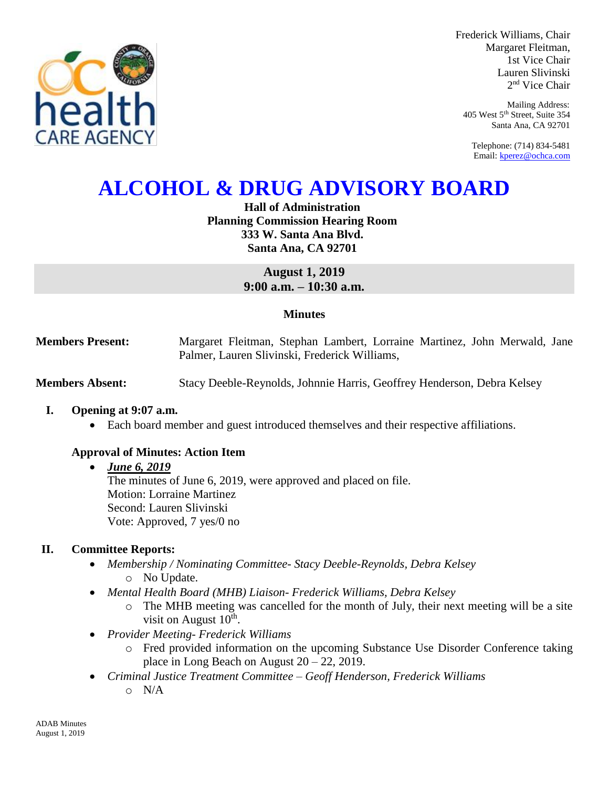

Frederick Williams, Chair Margaret Fleitman, 1st Vice Chair Lauren Slivinski 2 nd Vice Chair

Mailing Address: 405 West 5th Street, Suite 354 Santa Ana, CA 92701

Telephone: (714) 834-5481 Email[: kperez@ochca.com](mailto:kperez@ochca.com)

# **ALCOHOL & DRUG ADVISORY BOARD**

**Hall of Administration Planning Commission Hearing Room 333 W. Santa Ana Blvd. Santa Ana, CA 92701**

> **August 1, 2019 9:00 a.m. – 10:30 a.m.**

## **Minutes**

**Members Present:** Margaret Fleitman, Stephan Lambert, Lorraine Martinez, John Merwald, Jane Palmer, Lauren Slivinski, Frederick Williams,

**Members Absent:** Stacy Deeble-Reynolds, Johnnie Harris, Geoffrey Henderson, Debra Kelsey

#### **I. Opening at 9:07 a.m.**

Each board member and guest introduced themselves and their respective affiliations.

## **Approval of Minutes: Action Item**

#### *June 6, 2019*

The minutes of June 6, 2019, were approved and placed on file. Motion: Lorraine Martinez Second: Lauren Slivinski Vote: Approved, 7 yes/0 no

## **II. Committee Reports:**

- *Membership / Nominating Committee- Stacy Deeble-Reynolds, Debra Kelsey*  o No Update.
- *Mental Health Board (MHB) Liaison- Frederick Williams, Debra Kelsey* 
	- o The MHB meeting was cancelled for the month of July, their next meeting will be a site visit on August  $10<sup>th</sup>$ .
- *Provider Meeting- Frederick Williams*
	- o Fred provided information on the upcoming Substance Use Disorder Conference taking place in Long Beach on August  $20 - 22$ , 2019.
- *Criminal Justice Treatment Committee – Geoff Henderson, Frederick Williams*
	- o N/A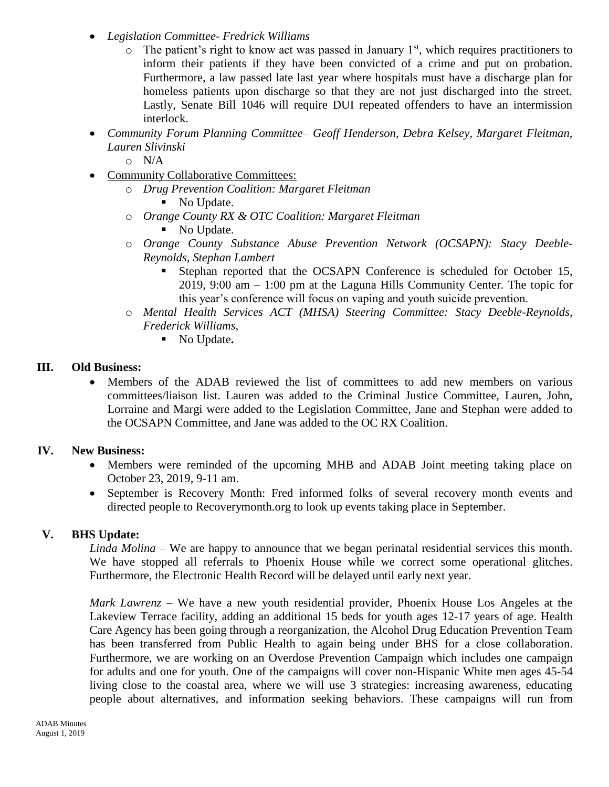- *Legislation Committee- Fredrick Williams*
	- $\circ$  The patient's right to know act was passed in January 1<sup>st</sup>, which requires practitioners to inform their patients if they have been convicted of a crime and put on probation. Furthermore, a law passed late last year where hospitals must have a discharge plan for homeless patients upon discharge so that they are not just discharged into the street. Lastly, Senate Bill 1046 will require DUI repeated offenders to have an intermission interlock.
- *Community Forum Planning Committee– Geoff Henderson, Debra Kelsey, Margaret Fleitman, Lauren Slivinski*

 $O$   $N/A$ 

- Community Collaborative Committees:
	- o *Drug Prevention Coalition: Margaret Fleitman*
		- No Update.
	- o *Orange County RX & OTC Coalition: Margaret Fleitman* No Update.
	- o *Orange County Substance Abuse Prevention Network (OCSAPN): Stacy Deeble-Reynolds, Stephan Lambert* 
		- Stephan reported that the OCSAPN Conference is scheduled for October 15, 2019, 9:00 am – 1:00 pm at the Laguna Hills Community Center. The topic for this year's conference will focus on vaping and youth suicide prevention.
	- o *Mental Health Services ACT (MHSA) Steering Committee: Stacy Deeble-Reynolds, Frederick Williams,* 
		- No Update**.**

# **III. Old Business:**

 Members of the ADAB reviewed the list of committees to add new members on various committees/liaison list. Lauren was added to the Criminal Justice Committee, Lauren, John, Lorraine and Margi were added to the Legislation Committee, Jane and Stephan were added to the OCSAPN Committee, and Jane was added to the OC RX Coalition.

# **IV. New Business:**

- Members were reminded of the upcoming MHB and ADAB Joint meeting taking place on October 23, 2019, 9-11 am.
- September is Recovery Month: Fred informed folks of several recovery month events and directed people to Recoverymonth.org to look up events taking place in September.

# **V. BHS Update:**

*Linda Molina –* We are happy to announce that we began perinatal residential services this month. We have stopped all referrals to Phoenix House while we correct some operational glitches. Furthermore, the Electronic Health Record will be delayed until early next year.

*Mark Lawrenz –* We have a new youth residential provider, Phoenix House Los Angeles at the Lakeview Terrace facility, adding an additional 15 beds for youth ages 12-17 years of age. Health Care Agency has been going through a reorganization, the Alcohol Drug Education Prevention Team has been transferred from Public Health to again being under BHS for a close collaboration. Furthermore, we are working on an Overdose Prevention Campaign which includes one campaign for adults and one for youth. One of the campaigns will cover non-Hispanic White men ages 45-54 living close to the coastal area, where we will use 3 strategies: increasing awareness, educating people about alternatives, and information seeking behaviors. These campaigns will run from